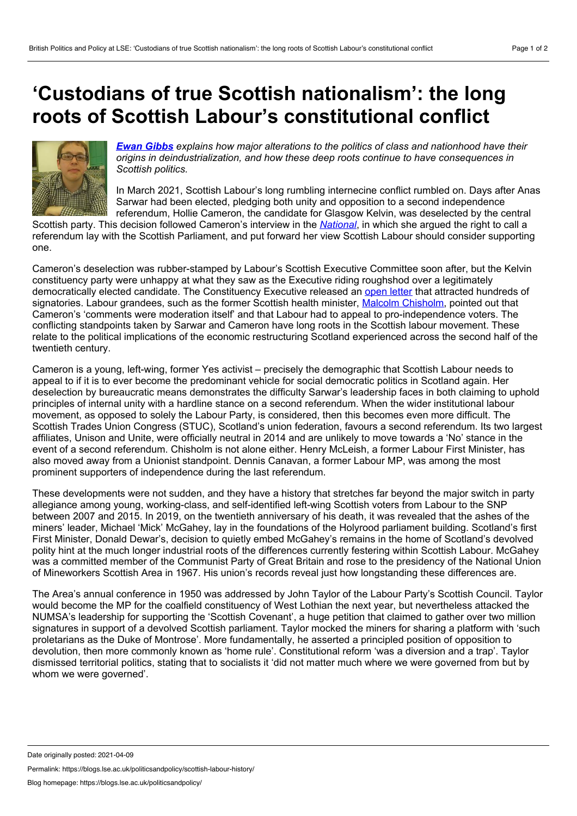## <span id="page-0-0"></span>**'Custodians of true Scottish nationalism': the long roots of Scottish Labour's constitutional conflict**



*Ewan [Gibbs](#page-0-0) explains how major alterations to the politics of class and nationhood have their origins in deindustrialization, and how these deep roots continue to have consequences in Scottish politics.*

In March 2021, Scottish Labour's long rumbling internecine conflict rumbled on. Days after Anas Sarwar had been elected, pledging both unity and opposition to a second independence referendum, Hollie Cameron, the candidate for Glasgow Kelvin, was deselected by the central

Scottish party. This decision followed Cameron's interview in the *[National](https://www.thenational.scot/news/19141908.labour-candidate-holyrood-backs-indyref2-says-quibble-timing/)*, in which she argued the right to call a referendum lay with the Scottish Parliament, and put forward her view Scottish Labour should consider supporting one.

Cameron's deselection was rubber-stamped by Labour's Scottish Executive Committee soon after, but the Kelvin constituency party were unhappy at what they saw as the Executive riding roughshod over a legitimately democratically elected candidate. The Constituency Executive released an [open](https://twitter.com/KelvinLabour/status/1369283490114572294?s=20) letter that attracted hundreds of signatories. Labour grandees, such as the former Scottish health minister, Malcolm [Chisholm,](https://twitter.com/MalcolmChishol1/status/1369274674044166146?s=20) pointed out that Cameron's 'comments were moderation itself' and that Labour had to appeal to pro-independence voters. The conflicting standpoints taken by Sarwar and Cameron have long roots in the Scottish labour movement. These relate to the political implications of the economic restructuring Scotland experienced across the second half of the twentieth century.

Cameron is a young, left-wing, former Yes activist – precisely the demographic that Scottish Labour needs to appeal to if it is to ever become the predominant vehicle for social democratic politics in Scotland again. Her deselection by bureaucratic means demonstrates the difficulty Sarwar's leadership faces in both claiming to uphold principles of internal unity with a hardline stance on a second referendum. When the wider institutional labour movement, as opposed to solely the Labour Party, is considered, then this becomes even more difficult. The Scottish Trades Union Congress (STUC), Scotland's union federation, favours a second referendum. Its two largest affiliates, Unison and Unite, were officially neutral in 2014 and are unlikely to move towards a 'No' stance in the event of a second referendum. Chisholm is not alone either. Henry McLeish, a former Labour First Minister, has also moved away from a Unionist standpoint. Dennis Canavan, a former Labour MP, was among the most prominent supporters of independence during the last referendum.

These developments were not sudden, and they have a history that stretches far beyond the major switch in party allegiance among young, working-class, and self-identified left-wing Scottish voters from Labour to the SNP between 2007 and 2015. In 2019, on the twentieth anniversary of his death, it was revealed that the ashes of the miners' leader, Michael 'Mick' McGahey, lay in the foundations of the Holyrood parliament building. Scotland's first First Minister, Donald Dewar's, decision to quietly embed McGahey's remains in the home of Scotland's devolved polity hint at the much longer industrial roots of the differences currently festering within Scottish Labour. McGahey was a committed member of the Communist Party of Great Britain and rose to the presidency of the National Union of Mineworkers Scottish Area in 1967. His union's records reveal just how longstanding these differences are.

The Area's annual conference in 1950 was addressed by John Taylor of the Labour Party's Scottish Council. Taylor would become the MP for the coalfield constituency of West Lothian the next year, but nevertheless attacked the NUMSA's leadership for supporting the 'Scottish Covenant', a huge petition that claimed to gather over two million signatures in support of a devolved Scottish parliament. Taylor mocked the miners for sharing a platform with 'such proletarians as the Duke of Montrose'. More fundamentally, he asserted a principled position of opposition to devolution, then more commonly known as 'home rule'. Constitutional reform 'was a diversion and a trap'. Taylor dismissed territorial politics, stating that to socialists it 'did not matter much where we were governed from but by whom we were governed'.

Permalink: https://blogs.lse.ac.uk/politicsandpolicy/scottish-labour-history/

Date originally posted: 2021-04-09